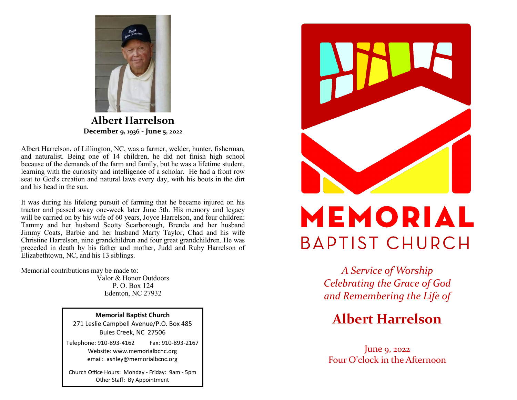

**Albert Harrelson December 9, 1936 - June 5, 2022**

Albert Harrelson, of Lillington, NC, was a farmer, welder, hunter, fisherman, and naturalist. Being one of 14 children, he did not finish high school because of the demands of the farm and family, but he was a lifetime student, learning with the curiosity and intelligence of a scholar. He had a front row seat to God's creation and natural laws every day, with his boots in the dirt and his head in the sun.

It was during his lifelong pursuit of farming that he became injured on his tractor and passed away one-week later June 5th. His memory and legacy will be carried on by his wife of 60 years, Joyce Harrelson, and four children: Tammy and her husband Scotty Scarborough, Brenda and her husband Jimmy Coats, Barbie and her husband Marty Taylor, Chad and his wife Christine Harrelson, nine grandchildren and four great grandchildren. He was preceded in death by his father and mother, Judd and Ruby Harrelson of Elizabethtown, NC, and his 13 siblings.

Memorial contributions may be made to:

Valor & Honor Outdoors P. O. Box 124 Edenton, NC 27932

**Memorial Baptist Church**

271 Leslie Campbell Avenue/P.O. Box 485 Buies Creek, NC 27506

Telephone: 910-893-4162 Fax: 910-893-2167 Website: www.memorialbcnc.org email: ashley@memorialbcnc.org

Church Office Hours: Monday - Friday: 9am - 5pm Other Staff: By Appointment



## MEMORIAL **BAPTIST CHURCH**

*A Service of Worship Celebrating the Grace of God and Remembering the Life of*

## **Albert Harrelson**

June 9, 2022 Four O'clock in the Afternoon